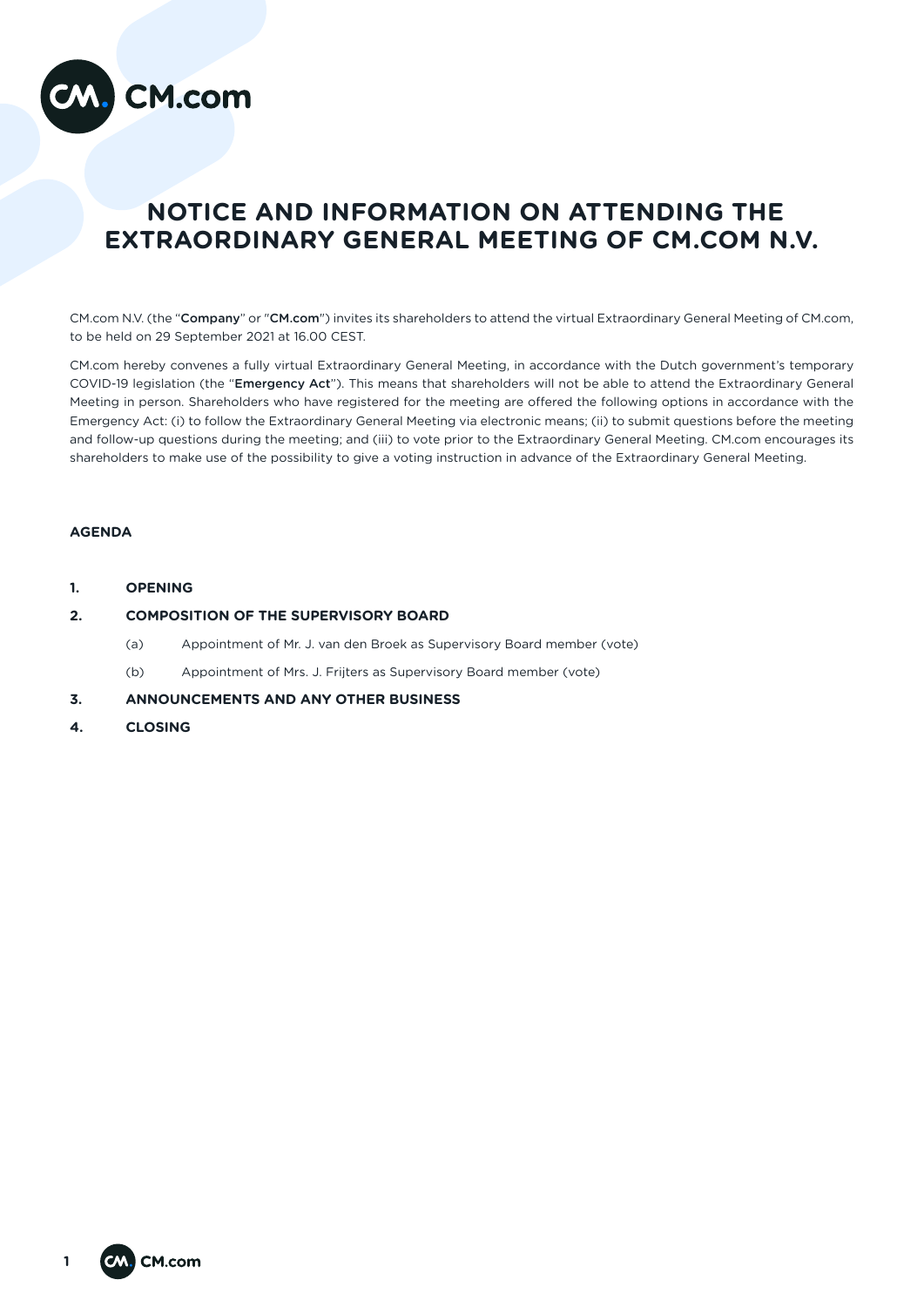

# **NOTICE AND INFORMATION ON ATTENDING THE EXTRAORDINARY GENERAL MEETING OF CM.COM N.V.**

CM.com N.V. (the "Company" or "CM.com") invites its shareholders to attend the virtual Extraordinary General Meeting of CM.com, to be held on 29 September 2021 at 16.00 CEST.

CM.com hereby convenes a fully virtual Extraordinary General Meeting, in accordance with the Dutch government's temporary COVID-19 legislation (the "Emergency Act"). This means that shareholders will not be able to attend the Extraordinary General Meeting in person. Shareholders who have registered for the meeting are offered the following options in accordance with the Emergency Act: (i) to follow the Extraordinary General Meeting via electronic means; (ii) to submit questions before the meeting and follow-up questions during the meeting; and (iii) to vote prior to the Extraordinary General Meeting. CM.com encourages its shareholders to make use of the possibility to give a voting instruction in advance of the Extraordinary General Meeting.

# **AGENDA**

**1. OPENING**

# **2. COMPOSITION OF THE SUPERVISORY BOARD**

- (a) Appointment of Mr. J. van den Broek as Supervisory Board member (vote)
- (b) Appointment of Mrs. J. Frijters as Supervisory Board member (vote)
- **3. ANNOUNCEMENTS AND ANY OTHER BUSINESS**
- **4. CLOSING**

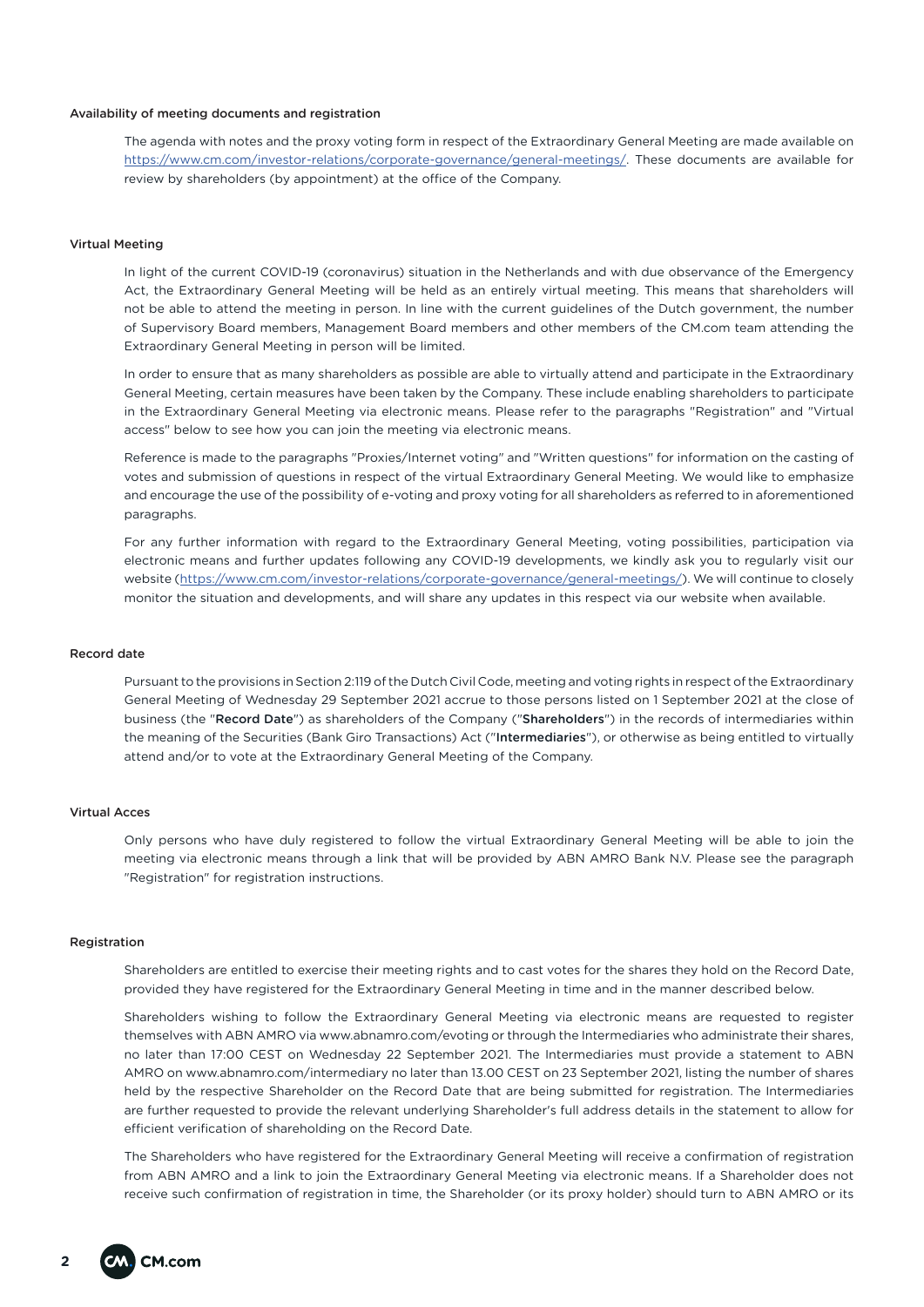### Availability of meeting documents and registration

The agenda with notes and the proxy voting form in respect of the Extraordinary General Meeting are made available on https://www.cm.com/investor-relations/corporate-governance/general-meetings/. These documents are available for review by shareholders (by appointment) at the office of the Company.

#### Virtual Meeting

In light of the current COVID-19 (coronavirus) situation in the Netherlands and with due observance of the Emergency Act, the Extraordinary General Meeting will be held as an entirely virtual meeting. This means that shareholders will not be able to attend the meeting in person. In line with the current guidelines of the Dutch government, the number of Supervisory Board members, Management Board members and other members of the CM.com team attending the Extraordinary General Meeting in person will be limited.

In order to ensure that as many shareholders as possible are able to virtually attend and participate in the Extraordinary General Meeting, certain measures have been taken by the Company. These include enabling shareholders to participate in the Extraordinary General Meeting via electronic means. Please refer to the paragraphs "Registration" and "Virtual access" below to see how you can join the meeting via electronic means.

Reference is made to the paragraphs "Proxies/Internet voting" and "Written questions" for information on the casting of votes and submission of questions in respect of the virtual Extraordinary General Meeting. We would like to emphasize and encourage the use of the possibility of e-voting and proxy voting for all shareholders as referred to in aforementioned paragraphs.

For any further information with regard to the Extraordinary General Meeting, voting possibilities, participation via electronic means and further updates following any COVID-19 developments, we kindly ask you to regularly visit our website (https://www.cm.com/investor-relations/corporate-governance/general-meetings/). We will continue to closely monitor the situation and developments, and will share any updates in this respect via our website when available.

# Record date

Pursuant to the provisions in Section 2:119 of the Dutch Civil Code, meeting and voting rights in respect of the Extraordinary General Meeting of Wednesday 29 September 2021 accrue to those persons listed on 1 September 2021 at the close of business (the "Record Date") as shareholders of the Company ("Shareholders") in the records of intermediaries within the meaning of the Securities (Bank Giro Transactions) Act ("Intermediaries"), or otherwise as being entitled to virtually attend and/or to vote at the Extraordinary General Meeting of the Company.

# Virtual Acces

Only persons who have duly registered to follow the virtual Extraordinary General Meeting will be able to join the meeting via electronic means through a link that will be provided by ABN AMRO Bank N.V. Please see the paragraph "Registration" for registration instructions.

#### Registration

Shareholders are entitled to exercise their meeting rights and to cast votes for the shares they hold on the Record Date, provided they have registered for the Extraordinary General Meeting in time and in the manner described below.

Shareholders wishing to follow the Extraordinary General Meeting via electronic means are requested to register themselves with ABN AMRO via www.abnamro.com/evoting or through the Intermediaries who administrate their shares, no later than 17:00 CEST on Wednesday 22 September 2021. The Intermediaries must provide a statement to ABN AMRO on www.abnamro.com/intermediary no later than 13.00 CEST on 23 September 2021, listing the number of shares held by the respective Shareholder on the Record Date that are being submitted for registration. The Intermediaries are further requested to provide the relevant underlying Shareholder's full address details in the statement to allow for efficient verification of shareholding on the Record Date.

The Shareholders who have registered for the Extraordinary General Meeting will receive a confirmation of registration from ABN AMRO and a link to join the Extraordinary General Meeting via electronic means. If a Shareholder does not receive such confirmation of registration in time, the Shareholder (or its proxy holder) should turn to ABN AMRO or its